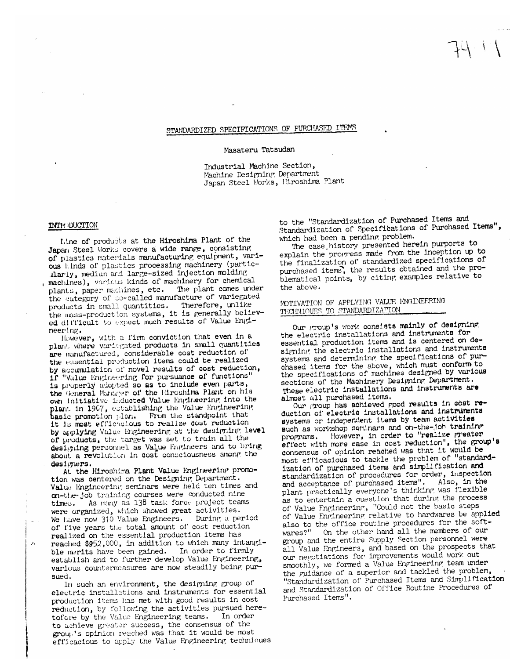# STANDARDIZED SPECIFICATIONS OF PURCHASED ITEMS

#### Masateru Tatsudan

Industrial Machine Section, Machine Designing Department Japan Steel Works, Hiroshima Plant

### **INTH DUCTION**

 $\mathcal{F}_1$ 

Line of products at the Hiroshima Plant of the Japan Steel Works covers a wide range, consisting of plastics materials manufacturing equipment, various kinds of plastics processing machinery (particllarly, medium and large-sized injection molding machines), various kinds of machinery for chemical plants, paper machines, etc. The plant comes under the category of so-called manufacture of variegated products in small quantities. Therefore, unlike the mass-production systems, it is generally believed difficult to expect much results of Value Engineer ing.

However, with a firm conviction that even in a plant where variagated products in small quantities are munufactured, considerable cost reduction of the essential production items could be realized by accumulation of novel results of cost reduction, 1f "Value Engineering for pursuance of functions" is properly adopted so as to include even parts, the General Municipar of the Hiroshima Plant on his own initiative inducted Value Engineering into the plant in 1967, establishing the Value Engineering From the standpoint that basic promotion plan. it is most efficielous to realize cost reduction by applying Value Engineering at the designing level of products, the target was set to train all the designing personnel as Value Engineers and to bring about a revolution in cost consciousness among the designers.

At the Hiroshima Plant Value Engineering promotion was centered on the Designing Department. Value Engineering seminars were held ten times and on-the-job training courses were conducted nine As many as 138 task force project teams times. were organized, which showed great activities. We have now 310 Value Engineers. During a period of five years the total amount of cost reduction realized on the essential production items has reached \$952,000, in addition to which many intangible merits have been gained. In order to firmly establish and to further develop Value Engineering, various countermeasures are now steadily being pursued.

In such an environment, the designing group of electric installations and instruments for essential production items has met with good results in cost reduction, by following the activities pursued heretofore by the Value Engineering teams. In order to achieve greater success, the consensus of the group's opinion reached was that it would be most efficacious to apply the Value Engineering techniques

to the "Standardization of Purchased Items and Standardization of Specifications of Purchased Items", which had been a pending problem.

The case history presented herein purports to explain the progress made from the inception up to the finalization of standardized specifications of purchased items, the results obtained and the problematical points, by citing examples relative to the above.

## MOTIVATION OF APPLYING VALUE ENGINEERING TECHNIQUES TO STANDARDIZATION

Our group's work consists mainly of designing the electric installations and instruments for essential production items and is centered on designing the electric installations and instruments systems and determining the specifications of purchased items for the above, which must conform to the specifications of machines designed by various sections of the Machinery Designing Department. These electric installations and instruments are almost all purchased items.

Our group has achieved good results in cost reduction of electric installations and instruments systems or independent items by team activities such as workshop seminars and on-the-job training However, in order to "realize greater programs. effect with more ease in cost reduction", the group's consensus of opinion reached was that it would be most efficacious to tackle the problem of "standardization of purchased items and simplification and standardization of procedures for order, inspection and acceptance of purchased items". Also, in the plant practically everyone's thinking was flexible as to entertain a question that during the process of Value Fngineering, "Could not the basic steps of Value Engineering relative to hardwares be applied also to the office routine procedures for the soft-On the other hand all the members of our wares?" group and the entire Supply Section personnel were all Value Engineers, and based on the prospects that our negotiations for improvements would work out smoothly, we formed a Value Engineering team under the guidance of a superior and tackled the problem, "Standardization of Purchased Items and Simplification and Standardization of Office Routine Procedures of Purchased Items".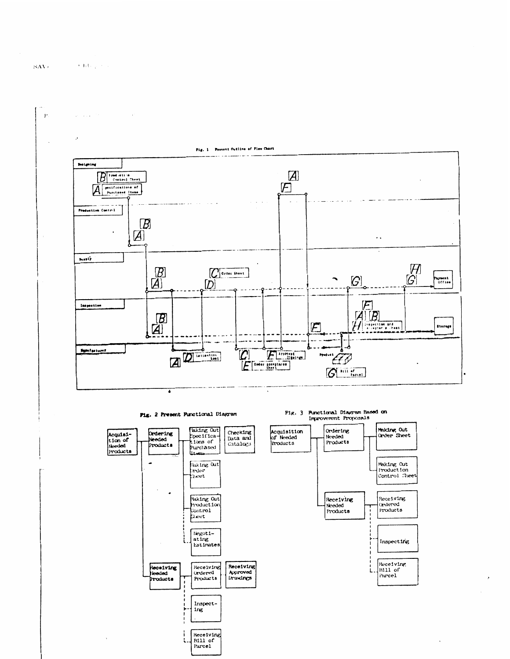

Fig. 2 Present Punctional Diagram



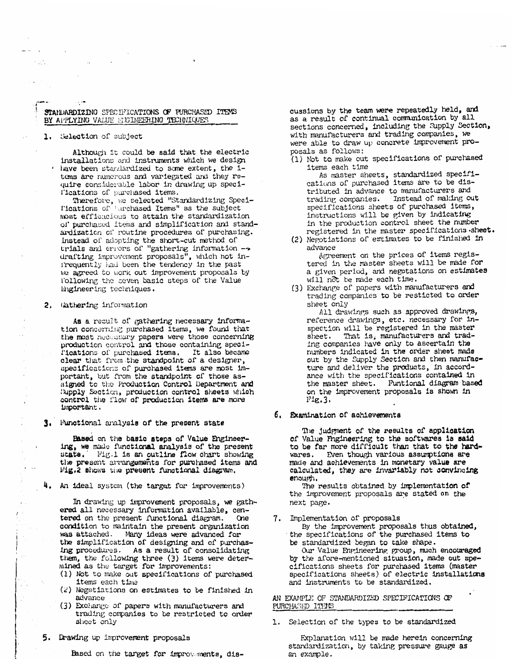## STANDARDIZING SPECIFICATIONS OF PURCHASED ITEMS BY APPLYING VALUE ENGINEERING TECHNIQUES

#### 1. Selection of subject

 $\cdots$ 

 $\sim 10^{11}$ 

Although it could be said that the electric installations and instruments which we design ' have been standardized to some extent, the items are numerous and variegated and they require considerable labor in drawing up specifications of purchased items.

Therefore, we selected "Standardizing Specifications of turchased Items" as the subject most efficacious to attain the standardization of purchased items and simplification and standardization of routine procedures of purchasing. Instead of adopting the short-cut method of trials and errors of "gathering information -> drafting improvement proposals", which not infrequently had been the tendency in the past we agreed to work out improvement proposals by following the seven basic steps of the Value Engineering techniques.

#### 2. Gathering information

As a result of gathering necessary information concerning purchased items, we found that the most necessary papers were those concerning production control and those containing specil'ications of purchased items. It also became clear that from the standpoint of a designer, specifications of purchased items are most important, but from the standpoint of those assigned to the Production Control Department and Supply Section, production control sheets which control the flow of production items are more important.

3. Functional analysis of the present state

Based on the basic steps of Value Engineering, we made functional analysis of the present Fig.1 is an outline flow chart showing  $state.$ the present arrangements for purchased items and Fig.2 shows the present functional diagram.

4. An ideal system (the target for improvements)

In drawing up improvement proposals, we gathered all necessary information available, centered on the present functional diagram. One condition to maintain the present organization was attached. Many ideas were advanced for the simplification of designing and of purchasing procedures. As a result of consolidating them, the following three (3) items were determined as the target for improvements:

- (1) Not to make out specifications of purchased items each time
- (2) Negotiations on estimates to be finished in advance
- (3) Exchange of papers with manufacturers and trading companies to be restricted to order sheet only
- 5. Drawing up improvement proposals

Based on the target for improvements, dis-

cussions by the team were repeatedly held, and as a result of continual communication by all sections concerned, including the Supply Section, with manufacturers and trading companies, we were able to draw up concrete improvement proposals as follows:

(1) Not to make out specifications of purchased items each time

As master sheets, standardized specifications of purchased items are to be distributed in advance to manufacturers and trading companies. Instead of making out specifications sheets of purchased items, instructions will be given by indicating in the production control sheet the number registered in the master specifications sheet.

- (2) Negotiations of estimates to be finished in advance Agreement on the prices of items registered in the master sheets will be made for a given period, and negotations on estimates
- will not be made each time. (3) Exchange of papers with manufacturers and trading companies to be resticted to order sheet only

All drawings such as approved drawings, reference drawings, etc. necessary for inspection will be registered in the master That is, manufacturers and tradsheet. ing companies have only to ascertain the numbers indicated in the order sheet made out by the Supply Section and then manufacture and deliver the products, in accordance with the specifications contained in the master sheet. Funtional diagram based on the improvement proposals is shown in  $FIg.3.$ 

### 6. Examination of achievements

The judgment of the results of application of Value Fngineering to the softwares is said to be far more difficult than that to the hardwares. Even though various assumptions are made and achievements in monetary value are calculated, they are invariably not convincing enough.

The results obtained by implementation of the improvement proposals are stated on the next page.

7. Implementation of proposals

By the improvement proposals thus obtained, the specifications of the purchased items to be standardized began to take shape.

Our Value Engineering group, much encouraged by the afore-mentioned situation, made out spe-<br>cifications sheets for purchased items (master specifications sheets) of electric installations and instruments to be standardized.

AN EXAMPLE OF STANDARDIZED SPECIFICATIONS OF PURCHASED ITEMS

1. Selection of the types to be standardized

Explanation will be made herein concerning standardization, by taking pressure gauge as an example.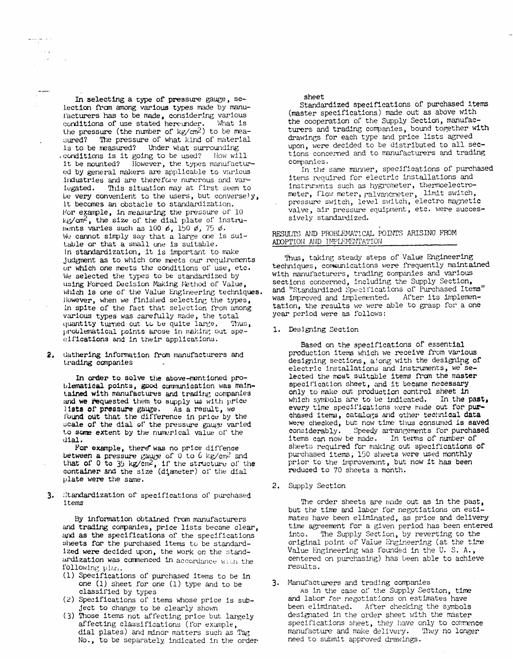In selecting a type of pressure gauge, selection from among various types made by manul'acturers has to be made, considering various conditions of use stated hereunder. What is the pressure (the number of  $kg/cm^2$ ) to be measured? The pressure of what kind of material is to be measured? Under what surrounding .conditions is it going to be used? How will it be mounted? However, the types manufactured by general makers are applicable to various industries and are therefore numerous and variegated. This situation may at first seem to be very convenient to the users, but conversely, it becomes an obstacle to standardization. For example, in measuring the pressure of 10 kg/cm<sup>2</sup>, the size of the dial plate of instruments varies such as 100  $\phi$ , 150  $\phi$ , 75  $\phi$ . We cannot simply say that a large one is suitable or that a small one is suitable. in standardization, it is important to make judgment as to which one meets our requirements or which one meets the conditions of use, etc. We selected the types to be standardized by using Forced Decision Making Method of Value, which is one of the Value Engineering techniques. However, when we finished selecting the types, in spite of the fact that selection from among various types was carefully made, the total quantity turned out to be quite large. Thus, problematical points arose in making out specifications and in their applications.

 $\frac{1}{\sqrt{2}}$  $\sim$   $\times$   $\sim$  $\sim$ 

 $\ddotsc$ 

2. Gathering information from manufacturers and trading companies

In order to solve the above-mentioned problematical points, good communication was maintained with manufactures and trading companies and we requested them to supply us with price lists of pressure gauge. As a result, we found out that the difference in price by the scale of the dial of the pressure gauge varied to some extent by the numerical value of the dial.

For example, there was no price diffence between a pressure gauge of 0 to 6 kg/cm<sup>2</sup> and that of 0 to 35 kg/cm<sup>2</sup>, if the structure of the container and the size (diameter) of the dial plate were the same.

3. Ctandardization of specifications of purchased items

By information obtained from manufacturers and trading companies, price lists became clear, and as the specifications of the specifications sheets for the purchased items to be standardized were decided upon, the work on the standardization was commenced in accordance with the following plan.

- (1) Specifications of purchased items to be in one (1) sheet for one (1) type and to be classified by types
- (2) Specifications of items whose price is subject to change to be clearly shown
- (3) Those items not affecting price but largely affecting classifications (for example, dial plates) and minor matters such as Tag No., to be separately indicated in the order

sheet

Standardized specifications of purchased items (master specifications) made out as above with the cooperation of the Supply Section, manufacturers and trading companies, bound together with drawings for each type and price lists agreed upon, were decided to be distributed to all sections concerned and to manufacturers and trading companies.

In the same manner, specifications of purchased items required for electric installations and instruments such as hygrometer, thermoelectrometer, flow meter, ralvancmeter, limit switch, pressure switch, level switch, electro magnetic valve, air pressure equipment, etc. were successively standardized.

#### RESULTS AND PROBLEMATICAL POINTS ARISING FROM ADOPTION AND IMPLEMENTATION

Thus, taking steady steps of Value Engineering techniques, communications were frequently maintained with manufacturers, trading companies and various sections concerned, including the Supply Section, and "Standardized Specifications of Purchased Items" was improved and implemented. After its implementation, the results we were able to grasp for a one year period were as follows:

1. Designing Section

Based on the specifications of essential production items which we receive from various designing sections, along with the designing of electric installations and instruments, we selected the most suitable items from the master specification sheet, and it became necessary only to make out production control sheet in which symbols are to be indicated. In the past, every time specifications were made out for purchased items, catalogs and other technical data were checked, but now time thus consumed is saved considerably. Speedy arrangements for purchased items can now be made. In terms of number of sheets required for making out specifications of purchased items, 150 sheets were used monthly prior to the improvement, but now it has been reduced to 70 sheets a month.

2. Supply Section

The order sheets are made out as in the past, but the time and labor for negotiations on estimates have been eliminated, as price and delivery time agreement for a given period has been entered into. The Supply Section, by reverting to the original point of Value Engineering (at the time Value Engineering was founded in the U.S.A., centered on purchasing) has been able to achieve results.

## 3. Manufacturers and trading companies

As in the case of the Supply Section, time and labor for negotiations on estimates have been eliminated. After checking the symbols designated in the order sheet with the master specifications sheet, they have only to commence manufacture and make delivery. They no longer need to submit approved drawings.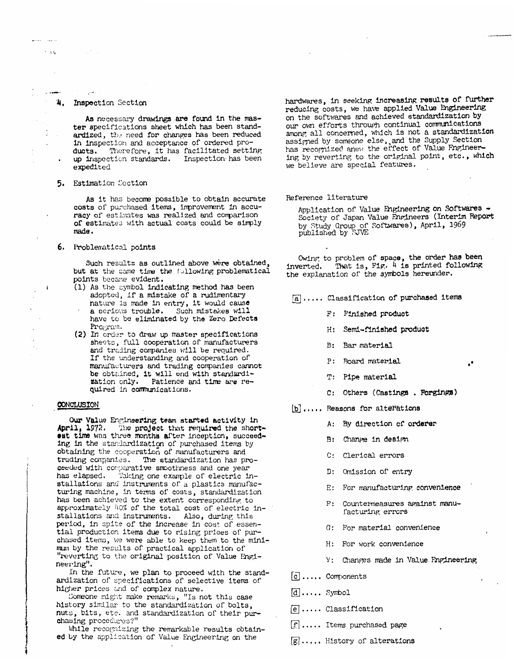## 4. Inspection Section

 $+33$ 

As necessary drawings are found in the master specifications sheet which has been standardized, the need for changes has been reduced in inspection and acceptance of ordered pro-Therefore, it has facilitated setting ducts. up inspection standards. Inspection has been expedited

#### 5. Estimation Section

As it has become possible to obtain accurate costs of purchased items, improvement in accuracy of estimates was realized and comparison of estimates with actual costs could be simply  $m = d$ .

#### 6. Problematical points

Such results as outlined above were obtained, but at the same time the following problematical points became evident.

- (1) As the symbol indicating method has been adopted, if a mistake of a rudimentary nature is made in entry, it would cause a serious trouble. Such mistakes will
- have to be eliminated by the Zero Defects Program.
- (2) In order to draw up master specifications sheets, full cooperation of manufacturers and trading companies will be required. If the understanding and cooperation of manufacturers and trading companies cannot be obtained, it will end with standardi-<br>xation only. Patience and time over nozation only. Patience and time are required in communications.

#### CONCLUSION

Our Value Engineering team started activity in April, 1972. The project that required the shortest time was three months after inception, succeeding in the standardization of purchased items by obtaining the cooperation of manufacturers and trading companies. The standardization has proceeded with comparative smoothness and one year has elapsed. Taking one example of electric installations and instruments of a plastics manufacturing machine, in terms of costs, standardization has been achieved to the extent corresponding to approximately 40% of the total cost of electric installations and instruments. Also, during this period, in spite of the increase in cost of essential production items due to rising prices of purchased items, we were able to keep them to the minimum by the results of practical application of "reverting to the original position of Value Engineering".

In the future, we plan to proceed with the standardization of specifications of selective items of higher prices and of complex nature.

Someone might make remarks, "Is not this case history similar to the standardization of bolts, nuts, bits, etc. and standardization of their purchasing procedures?"

While recognizing the remarkable results obtained by the application of Value Engineering on the

hardwares, in seeking increasing results of further reducing costs, we have applied Value Engineering on the softwares and achieved standardization by our own efforts through continual communications among all concerned, which is not a standardization assigned by someone else, and the Supply Section<br>has recognized anew the effect of Value Engineering by reverting to the original point, etc., which we believe are special features.

#### Reference literature

Application of Value Engineering on Softwares -Society of Japan Value Engineers (Interim Report by Study Group of Softwares), April, 1969<br>published by SJVE

Owing to problem of space, the order has been inverted. That is, Fig. 4 is printed following the explanation of the symbols hereunder.

- [a]..... Classification of purchased items
	- F: Finished product
	- H: Semi-finished product
	- B: Bar material
	- P: Board material
	- T: Pipe material
	- C: Others (Castings . Forgings)
- b]..... Reasons for alterations
	- A: By direction of orderer
	- B: Change in design
	- C: Clerical errors
	- D: Omission of entry
	- E: For manufacturing convenience
	- F: Countermeasures against manufacturing errors
	- G: For material convenience
	- H: For work convenience
	- V: Changes made in Value Engineering
- $[c]$ .... Components
- $d$  ..... Symbol
- e ..... Classification
- $\lfloor f \rfloor$ ..... Items purchased page
- $\mathbb{R}$ .... History of alterations